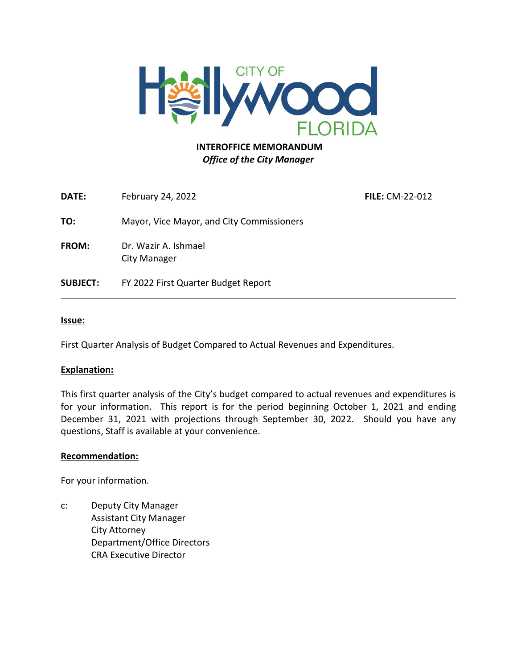

#### **INTEROFFICE MEMORANDUM** *Office of the City Manager*

**DATE:** February 24, 2022 **FILE:** CM-22-012 **TO:** Mayor, Vice Mayor, and City Commissioners **FROM:** Dr. Wazir A. Ishmael City Manager **SUBJECT:** FY 2022 First Quarter Budget Report

#### **Issue:**

First Quarter Analysis of Budget Compared to Actual Revenues and Expenditures.

#### **Explanation:**

This first quarter analysis of the City's budget compared to actual revenues and expenditures is for your information. This report is for the period beginning October 1, 2021 and ending December 31, 2021 with projections through September 30, 2022. Should you have any questions, Staff is available at your convenience.

#### **Recommendation:**

For your information.

c: Deputy City Manager Assistant City Manager City Attorney Department/Office Directors CRA Executive Director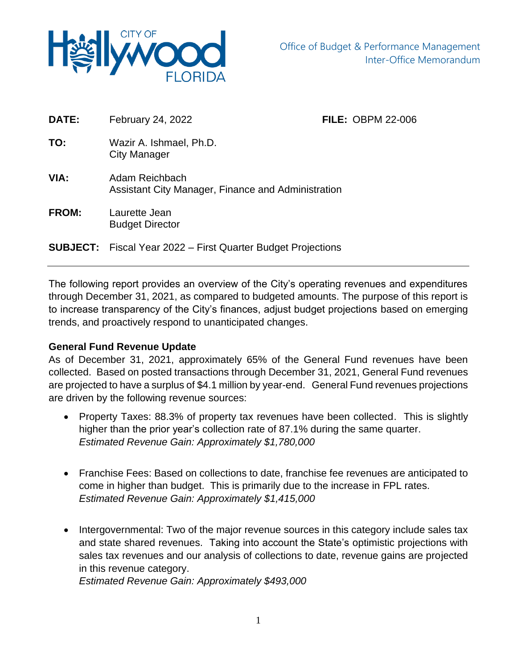

| DATE:        | February 24, 2022                                                    | <b>FILE: OBPM 22-006</b> |  |
|--------------|----------------------------------------------------------------------|--------------------------|--|
| TO:          | Wazir A. Ishmael, Ph.D.<br>City Manager                              |                          |  |
| VIA:         | Adam Reichbach<br>Assistant City Manager, Finance and Administration |                          |  |
| <b>FROM:</b> | Laurette Jean<br><b>Budget Director</b>                              |                          |  |
|              | <b>SUBJECT:</b> Fiscal Year 2022 – First Quarter Budget Projections  |                          |  |

The following report provides an overview of the City's operating revenues and expenditures through December 31, 2021, as compared to budgeted amounts. The purpose of this report is to increase transparency of the City's finances, adjust budget projections based on emerging trends, and proactively respond to unanticipated changes.

### **General Fund Revenue Update**

As of December 31, 2021, approximately 65% of the General Fund revenues have been collected. Based on posted transactions through December 31, 2021, General Fund revenues are projected to have a surplus of \$4.1 million by year-end. General Fund revenues projections are driven by the following revenue sources:

- Property Taxes: 88.3% of property tax revenues have been collected. This is slightly higher than the prior year's collection rate of 87.1% during the same quarter. *Estimated Revenue Gain: Approximately \$1,780,000*
- Franchise Fees: Based on collections to date, franchise fee revenues are anticipated to come in higher than budget. This is primarily due to the increase in FPL rates. *Estimated Revenue Gain: Approximately \$1,415,000*
- Intergovernmental: Two of the major revenue sources in this category include sales tax and state shared revenues. Taking into account the State's optimistic projections with sales tax revenues and our analysis of collections to date, revenue gains are projected in this revenue category.

*Estimated Revenue Gain: Approximately \$493,000*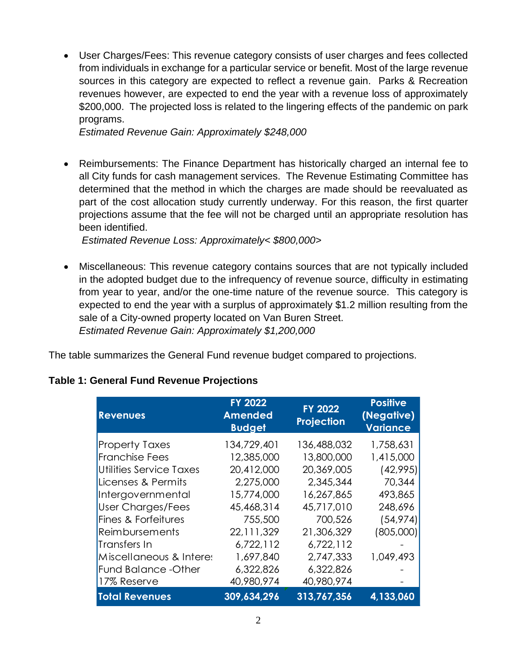• User Charges/Fees: This revenue category consists of user charges and fees collected from individuals in exchange for a particular service or benefit. Most of the large revenue sources in this category are expected to reflect a revenue gain. Parks & Recreation revenues however, are expected to end the year with a revenue loss of approximately \$200,000. The projected loss is related to the lingering effects of the pandemic on park programs.

*Estimated Revenue Gain: Approximately \$248,000*

• Reimbursements: The Finance Department has historically charged an internal fee to all City funds for cash management services. The Revenue Estimating Committee has determined that the method in which the charges are made should be reevaluated as part of the cost allocation study currently underway. For this reason, the first quarter projections assume that the fee will not be charged until an appropriate resolution has been identified.

*Estimated Revenue Loss: Approximately< \$800,000>*

• Miscellaneous: This revenue category contains sources that are not typically included in the adopted budget due to the infrequency of revenue source, difficulty in estimating from year to year, and/or the one-time nature of the revenue source. This category is expected to end the year with a surplus of approximately \$1.2 million resulting from the sale of a City-owned property located on Van Buren Street. *Estimated Revenue Gain: Approximately \$1,200,000*

The table summarizes the General Fund revenue budget compared to projections.

| <b>Revenues</b>                | <b>FY 2022</b><br><b>Amended</b><br><b>Budget</b> | <b>FY 2022</b><br>Projection | <b>Positive</b><br>(Negative)<br><b>Variance</b> |
|--------------------------------|---------------------------------------------------|------------------------------|--------------------------------------------------|
| <b>Property Taxes</b>          | 134,729,401                                       | 136,488,032                  | 1,758,631                                        |
| <b>Franchise Fees</b>          | 12,385,000                                        | 13,800,000                   | 1,415,000                                        |
| <b>Utilities Service Taxes</b> | 20,412,000                                        | 20,369,005                   | (42,995)                                         |
| Licenses & Permits             | 2,275,000                                         | 2,345,344                    | 70,344                                           |
| Intergovernmental              | 15,774,000                                        | 16,267,865                   | 493,865                                          |
| <b>User Charges/Fees</b>       | 45,468,314                                        | 45,717,010                   | 248,696                                          |
| Fines & Forfeitures            | 755,500                                           | 700,526                      | (54, 974)                                        |
| Reimbursements                 | 22,111,329                                        | 21,306,329                   | (805,000)                                        |
| Transfers In                   | 6,722,112                                         | 6,722,112                    |                                                  |
| Miscellaneous & Interes        | 1,697,840                                         | 2,747,333                    | 1,049,493                                        |
| <b>Fund Balance -Other</b>     | 6,322,826                                         | 6,322,826                    |                                                  |
| 17% Reserve                    | 40,980,974                                        | 40,980,974                   |                                                  |
| <b>Total Revenues</b>          | 309,634,296                                       | 313,767,356                  | 4,133,060                                        |

# **Table 1: General Fund Revenue Projections**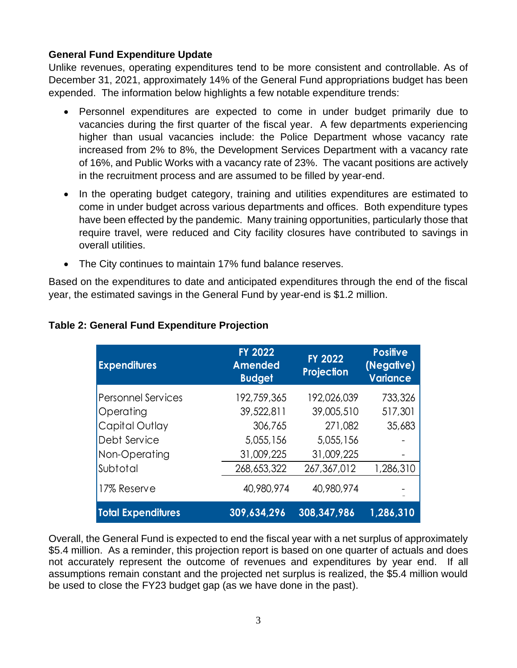# **General Fund Expenditure Update**

Unlike revenues, operating expenditures tend to be more consistent and controllable. As of December 31, 2021, approximately 14% of the General Fund appropriations budget has been expended. The information below highlights a few notable expenditure trends:

- Personnel expenditures are expected to come in under budget primarily due to vacancies during the first quarter of the fiscal year. A few departments experiencing higher than usual vacancies include: the Police Department whose vacancy rate increased from 2% to 8%, the Development Services Department with a vacancy rate of 16%, and Public Works with a vacancy rate of 23%. The vacant positions are actively in the recruitment process and are assumed to be filled by year-end.
- In the operating budget category, training and utilities expenditures are estimated to come in under budget across various departments and offices. Both expenditure types have been effected by the pandemic. Many training opportunities, particularly those that require travel, were reduced and City facility closures have contributed to savings in overall utilities.
- The City continues to maintain 17% fund balance reserves.

Based on the expenditures to date and anticipated expenditures through the end of the fiscal year, the estimated savings in the General Fund by year-end is \$1.2 million.

| <b>Expenditures</b>       | <b>FY 2022</b><br><b>Amended</b><br><b>Budget</b> | <b>FY 2022</b><br>Projection | <b>Positive</b><br>(Negative)<br><b>Variance</b> |
|---------------------------|---------------------------------------------------|------------------------------|--------------------------------------------------|
| <b>Personnel Services</b> | 192,759,365                                       | 192,026,039                  | 733,326                                          |
| Operating                 | 39,522,811                                        | 39,005,510                   | 517,301                                          |
| Capital Outlay            | 306,765                                           | 271,082                      | 35,683                                           |
| Debt Service              | 5,055,156                                         | 5,055,156                    |                                                  |
| Non-Operating             | 31,009,225                                        | 31,009,225                   |                                                  |
| Subtotal                  | 268,653,322                                       | 267,367,012                  | 1,286,310                                        |
| 17% Reserve               | 40,980,974                                        | 40,980,974                   |                                                  |
| <b>Total Expenditures</b> | 309,634,296                                       | 308,347,986                  | 1,286,310                                        |

# **Table 2: General Fund Expenditure Projection**

Overall, the General Fund is expected to end the fiscal year with a net surplus of approximately \$5.4 million. As a reminder, this projection report is based on one quarter of actuals and does not accurately represent the outcome of revenues and expenditures by year end. If all assumptions remain constant and the projected net surplus is realized, the \$5.4 million would be used to close the FY23 budget gap (as we have done in the past).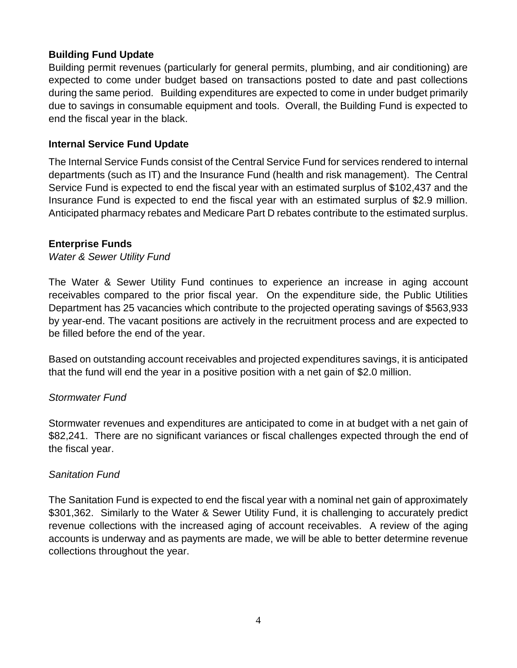## **Building Fund Update**

Building permit revenues (particularly for general permits, plumbing, and air conditioning) are expected to come under budget based on transactions posted to date and past collections during the same period. Building expenditures are expected to come in under budget primarily due to savings in consumable equipment and tools. Overall, the Building Fund is expected to end the fiscal year in the black.

### **Internal Service Fund Update**

The Internal Service Funds consist of the Central Service Fund for services rendered to internal departments (such as IT) and the Insurance Fund (health and risk management). The Central Service Fund is expected to end the fiscal year with an estimated surplus of \$102,437 and the Insurance Fund is expected to end the fiscal year with an estimated surplus of \$2.9 million. Anticipated pharmacy rebates and Medicare Part D rebates contribute to the estimated surplus.

### **Enterprise Funds**

#### *Water & Sewer Utility Fund*

The Water & Sewer Utility Fund continues to experience an increase in aging account receivables compared to the prior fiscal year. On the expenditure side, the Public Utilities Department has 25 vacancies which contribute to the projected operating savings of \$563,933 by year-end. The vacant positions are actively in the recruitment process and are expected to be filled before the end of the year.

Based on outstanding account receivables and projected expenditures savings, it is anticipated that the fund will end the year in a positive position with a net gain of \$2.0 million.

### *Stormwater Fund*

Stormwater revenues and expenditures are anticipated to come in at budget with a net gain of \$82,241. There are no significant variances or fiscal challenges expected through the end of the fiscal year.

### *Sanitation Fund*

The Sanitation Fund is expected to end the fiscal year with a nominal net gain of approximately \$301,362. Similarly to the Water & Sewer Utility Fund, it is challenging to accurately predict revenue collections with the increased aging of account receivables. A review of the aging accounts is underway and as payments are made, we will be able to better determine revenue collections throughout the year.